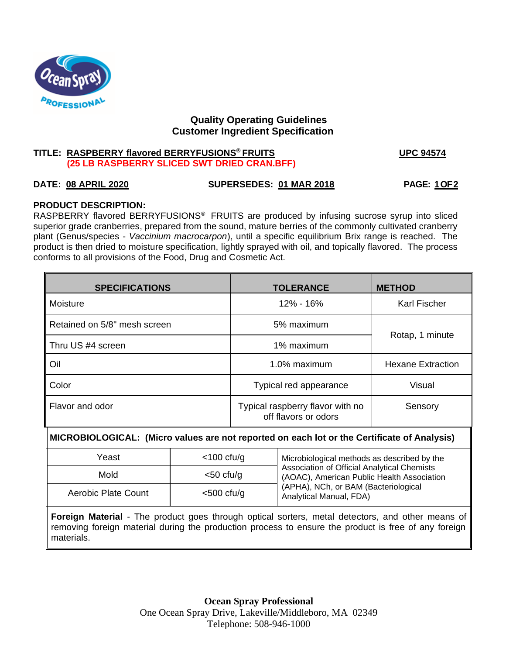

# **Quality Operating Guidelines Customer Ingredient Specification**

# **TITLE: RASPBERRY flavored BERRYFUSIONS® FRUITS UPC 94574 (25 LB RASPBERRY SLICED SWT DRIED CRAN.BFF)**

# **DATE: 08 APRIL 2020 SUPERSEDES: 01 MAR 2018 PAGE: 1 OF 2**

# **PRODUCT DESCRIPTION:**

RASPBERRY flavored BERRYFUSIONS® FRUITS are produced by infusing sucrose syrup into sliced superior grade cranberries, prepared from the sound, mature berries of the commonly cultivated cranberry plant (Genus/species - *Vaccinium macrocarpon*), until a specific equilibrium Brix range is reached. The product is then dried to moisture specification, lightly sprayed with oil, and topically flavored. The process conforms to all provisions of the Food, Drug and Cosmetic Act.

| <b>SPECIFICATIONS</b>        | <b>TOLERANCE</b>                                                    | <b>METHOD</b>       |  |
|------------------------------|---------------------------------------------------------------------|---------------------|--|
| Moisture                     | 12% - 16%                                                           | <b>Karl Fischer</b> |  |
| Retained on 5/8" mesh screen | 5% maximum                                                          | Rotap, 1 minute     |  |
| Thru US #4 screen            | 1% maximum                                                          |                     |  |
| Oil                          | 1.0% maximum<br><b>Hexane Extraction</b>                            |                     |  |
| Color                        | Typical red appearance<br>Visual                                    |                     |  |
| Flavor and odor              | Typical raspberry flavor with no<br>Sensory<br>off flavors or odors |                     |  |

# M **MICROBIOLOGICAL: (Micro values are not reported on each lot or the Certificate of Analysis)**

| Yeast               | $<$ 100 cfu/g | Microbiological methods as described by the                                               |  |
|---------------------|---------------|-------------------------------------------------------------------------------------------|--|
| Mold                | $<$ 50 cfu/g  | Association of Official Analytical Chemists<br>(AOAC), American Public Health Association |  |
| Aerobic Plate Count | $<$ 500 cfu/g | (APHA), NCh, or BAM (Bacteriological<br>Analytical Manual, FDA)                           |  |

**Foreign Material** - The product goes through optical sorters, metal detectors, and other means of removing foreign material during the production process to ensure the product is free of any foreign materials.